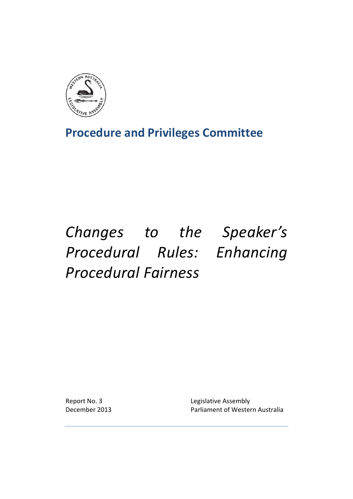

**Procedure and Privileges Committee**

# *Changes to the Speaker's Procedural Rules: Enhancing Procedural Fairness*

Report No. 3 **Legislative Assembly** December 2013 Parliament of Western Australia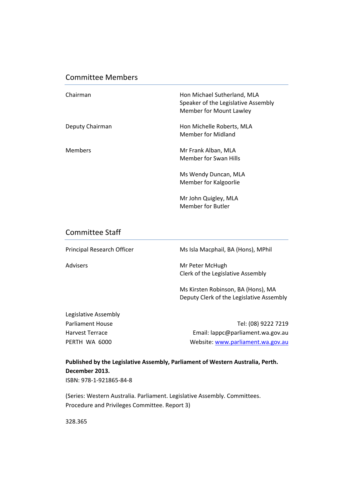# Committee Members

| Chairman        | Hon Michael Sutherland, MLA<br>Speaker of the Legislative Assembly<br>Member for Mount Lawley |
|-----------------|-----------------------------------------------------------------------------------------------|
| Deputy Chairman | Hon Michelle Roberts, MLA<br>Member for Midland                                               |
| <b>Members</b>  | Mr Frank Alban, MLA<br>Member for Swan Hills                                                  |
|                 | Ms Wendy Duncan, MLA<br>Member for Kalgoorlie                                                 |
|                 | Mr John Quigley, MLA<br>Member for Butler                                                     |

## Committee Staff

Principal Research Officer Ms Isla Macphail, BA (Hons), MPhil Advisers **Mr Peter McHugh** Clerk of the Legislative Assembly Ms Kirsten Robinson, BA (Hons), MA Deputy Clerk of the Legislative Assembly

| Legislative Assembly    |                                   |
|-------------------------|-----------------------------------|
| <b>Parliament House</b> | Tel: (08) 9222 7219               |
| <b>Harvest Terrace</b>  | Email: lappc@parliament.wa.gov.au |
| PERTH WA 6000           | Website: www.parliament.wa.gov.au |

**Published by the Legislative Assembly, Parliament of Western Australia, Perth. December 2013.** ISBN: 978‐1‐921865‐84‐8

(Series: Western Australia. Parliament. Legislative Assembly. Committees. Procedure and Privileges Committee. Report 3)

328.365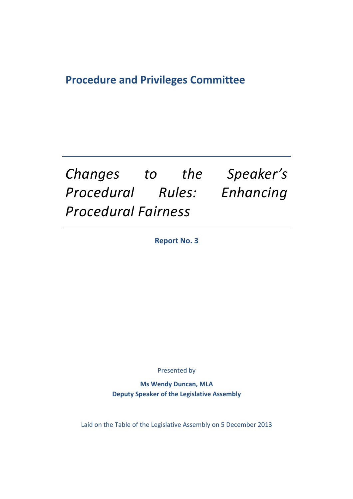# **Procedure and Privileges Committee**

# *Changes to the Speaker's Procedural Rules: Enhancing Procedural Fairness*

**Report No. 3**

Presented by

**Ms Wendy Duncan, MLA Deputy Speaker of the Legislative Assembly**

Laid on the Table of the Legislative Assembly on 5 December 2013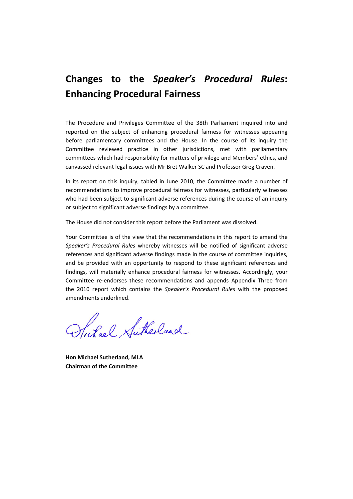# **Changes to the** *Speaker's Procedural Rules***: Enhancing Procedural Fairness**

The Procedure and Privileges Committee of the 38th Parliament inquired into and reported on the subject of enhancing procedural fairness for witnesses appearing before parliamentary committees and the House. In the course of its inquiry the Committee reviewed practice in other jurisdictions, met with parliamentary committees which had responsibility for matters of privilege and Members' ethics, and canvassed relevant legal issues with Mr Bret Walker SC and Professor Greg Craven.

In its report on this inquiry, tabled in June 2010, the Committee made a number of recommendations to improve procedural fairness for witnesses, particularly witnesses who had been subject to significant adverse references during the course of an inquiry or subject to significant adverse findings by a committee.

The House did not consider this report before the Parliament was dissolved.

Your Committee is of the view that the recommendations in this report to amend the *Speaker's Procedural Rules* whereby witnesses will be notified of significant adverse references and significant adverse findings made in the course of committee inquiries, and be provided with an opportunity to respond to these significant references and findings, will materially enhance procedural fairness for witnesses. Accordingly, your Committee re‐endorses these recommendations and appends Appendix Three from the 2010 report which contains the *Speaker's Procedural Rules* with the proposed amendments underlined.

Stickal Sutherland

**Hon Michael Sutherland, MLA Chairman of the Committee**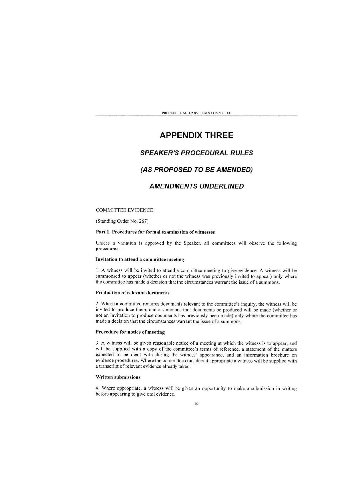# **APPENDIX THREE**

## **SPEAKER'S PROCEDURAL RULES**

### (AS PROPOSED TO BE AMENDED)

## **AMENDMENTS UNDERLINED**

#### **COMMITTEE EVIDENCE**

(Standing Order No. 267)

#### Part 1. Procedures for formal examination of witnesses

Unless a variation is approved by the Speaker, all committees will observe the following procedures -

#### Invitation to attend a committee meeting

1. A witness will be invited to attend a committee meeting to give evidence. A witness will be summonsed to appear (whether or not the witness was previously invited to appear) only where the committee has made a decision that the circumstances warrant the issue of a summons.

#### Production of relevant documents

2. Where a committee requires documents relevant to the committee's inquiry, the witness will be invited to produce them, and a summons that documents be produced will be made (whether or not an invitation to produce documents has previously been made) only where the committee has made a decision that the circumstances warrant the issue of a summons.

#### Procedure for notice of meeting

3. A witness will be given reasonable notice of a meeting at which the witness is to appear, and will be supplied with a copy of the committee's terms of reference, a statement of the matters expected to be dealt with during the witness' appearance, and an information brochure on evidence procedures. Where the committee considers it appropriate a witness will be supplied with a transcript of relevant evidence already taken.

#### Written submissions

4. Where appropriate, a witness will be given an opportunity to make a submission in writing before appearing to give oral evidence.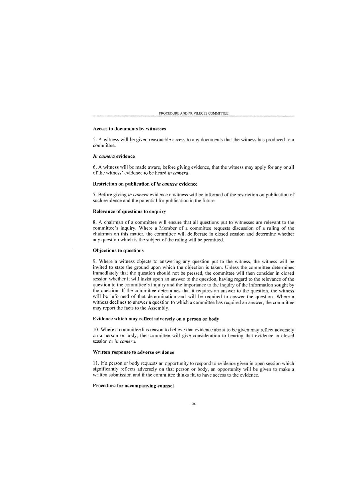#### Access to documents by witnesses

5. A witness will be given reasonable access to any documents that the witness has produced to a committee.

#### In camera evidence

6. A witness will be made aware, before giving evidence, that the witness may apply for any or all of the witness' evidence to be heard in camera.

#### Restriction on publication of in camera evidence

7. Before giving in camera evidence a witness will be informed of the restriction on publication of such evidence and the potential for publication in the future.

#### Relevance of questions to enquiry

8. A chairman of a committee will ensure that all questions put to witnesses are relevant to the committee's inquiry. Where a Member of a committee requests discussion of a ruling of the chairman on this matter, the committee will deliberate in closed session and determine whether any question which is the subject of the ruling will be permitted.

#### Objections to questions

9. Where a witness objects to answering any question put to the witness, the witness will be invited to state the ground upon which the objection is taken. Unless the committee determines immediately that the question should not be pressed, the committee will then consider in closed session whether it will insist upon an answer to the question, having regard to the relevance of the question to the committee's inquiry and the importance to the inquiry of the information sought by the question. If the committee determines that it requires an answer to the question, the witness will be informed of that determination and will be required to answer the question. Where a witness declines to answer a question to which a committee has required an answer, the committee may report the facts to the Assembly.

#### Evidence which may reflect adversely on a person or body

10. Where a committee has reason to believe that evidence about to be given may reflect adversely on a person or body, the committee will give consideration to hearing that evidence in closed session or in camera.

#### Written response to adverse evidence

11. If a person or body requests an opportunity to respond to evidence given in open session which significantly reflects adversely on that person or body, an opportunity will be given to make a written submission and if the committee thinks fit, to have access to the evidence.

#### Procedure for accompanying counsel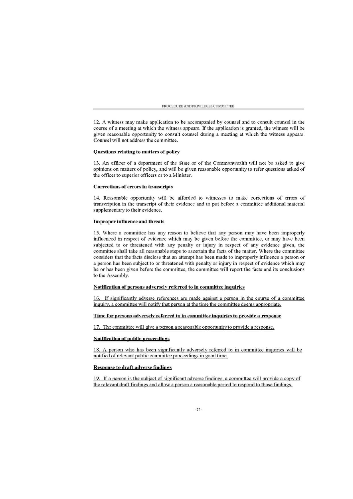12. A witness may make application to be accompanied by counsel and to consult counsel in the course of a meeting at which the witness appears. If the application is granted, the witness will be given reasonable opportunity to consult counsel during a meeting at which the witness appears. Counsel will not address the committee.

#### Questions relating to matters of policy

13. An officer of a department of the State or of the Commonwealth will not be asked to give opinions on matters of policy, and will be given reasonable opportunity to refer questions asked of the officer to superior officers or to a Minister.

#### **Corrections of errors in transcripts**

14. Reasonable opportunity will be afforded to witnesses to make corrections of errors of transcription in the transcript of their evidence and to put before a committee additional material supplementary to their evidence.

#### **Improper influence and threats**

15. Where a committee has any reason to believe that any person may have been improperly influenced in respect of evidence which may be given before the committee, or may have been subjected to or threatened with any penalty or injury in respect of any evidence given, the committee shall take all reasonable steps to ascertain the facts of the matter. Where the committee considers that the facts disclose that an attempt has been made to improperly influence a person or a person has been subject to or threatened with penalty or injury in respect of evidence which may be or has been given before the committee, the committee will report the facts and its conclusions to the Assembly.

#### Notification of persons adversely referred to in committee inquiries

16. If significantly adverse references are made against a person in the course of a committee inquiry, a committee will notify that person at the time the committee deems appropriate.

#### Time for persons adversely referred to in committee inquiries to provide a response

17. The committee will give a person a reasonable opportunity to provide a response.

#### **Notification of public proceedings**

18. A person who has been significantly adversely referred to in committee inquiries will be notified of relevant public committee proceedings in good time.

#### **Response to draft adverse findings**

19. If a person is the subject of significant adverse findings, a committee will provide a copy of the relevant draft findings and allow a person a reasonable period to respond to those findings.